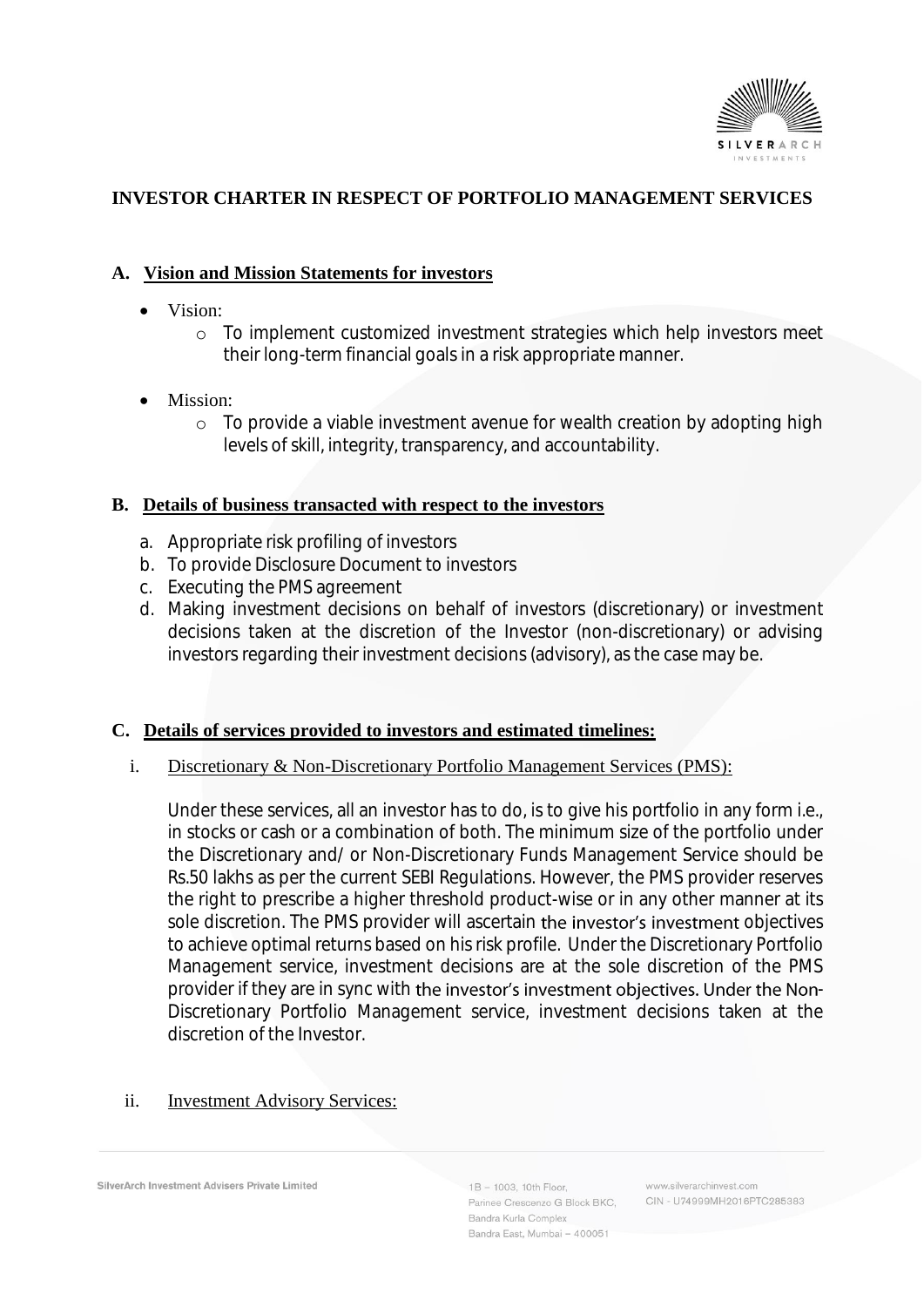

# **INVESTOR CHARTER IN RESPECT OF PORTFOLIO MANAGEMENT SERVICES**

## **A. Vision and Mission Statements for investors**

- Vision:
	- o To implement customized investment strategies which help investors meet their long-term financial goals in a risk appropriate manner.
- Mission:
	- o To provide a viable investment avenue for wealth creation by adopting high levels of skill, integrity, transparency, and accountability.

#### **B. Details of business transacted with respect to the investors**

- a. Appropriate risk profiling of investors
- b. To provide Disclosure Document to investors
- c. Executing the PMS agreement
- d. Making investment decisions on behalf of investors (discretionary) or investment decisions taken at the discretion of the Investor (non-discretionary) or advising investors regarding their investment decisions (advisory), as the case may be.

### **C. Details of services provided to investors and estimated timelines:**

#### i. Discretionary & Non-Discretionary Portfolio Management Services (PMS):

Under these services, all an investor has to do, is to give his portfolio in any form i.e., in stocks or cash or a combination of both. The minimum size of the portfolio under the Discretionary and/ or Non-Discretionary Funds Management Service should be Rs.50 lakhs as per the current SEBI Regulations. However, the PMS provider reserves the right to prescribe a higher threshold product-wise or in any other manner at its sole discretion. The PMS provider will ascertain the investor's investment objectives to achieve optimal returns based on his risk profile. Under the Discretionary Portfolio Management service, investment decisions are at the sole discretion of the PMS provider if they are in sync with the investor's investment objectives. Under the Non-Discretionary Portfolio Management service, investment decisions taken at the discretion of the Investor.

## ii. **Investment Advisory Services:**

SilverArch Investment Advisers Private Limited

 $1B - 1003$ , 10th Floor Parinee Crescenzo G Block BKC, Bandra Kurla Complex Bandra East, Mumbai - 400051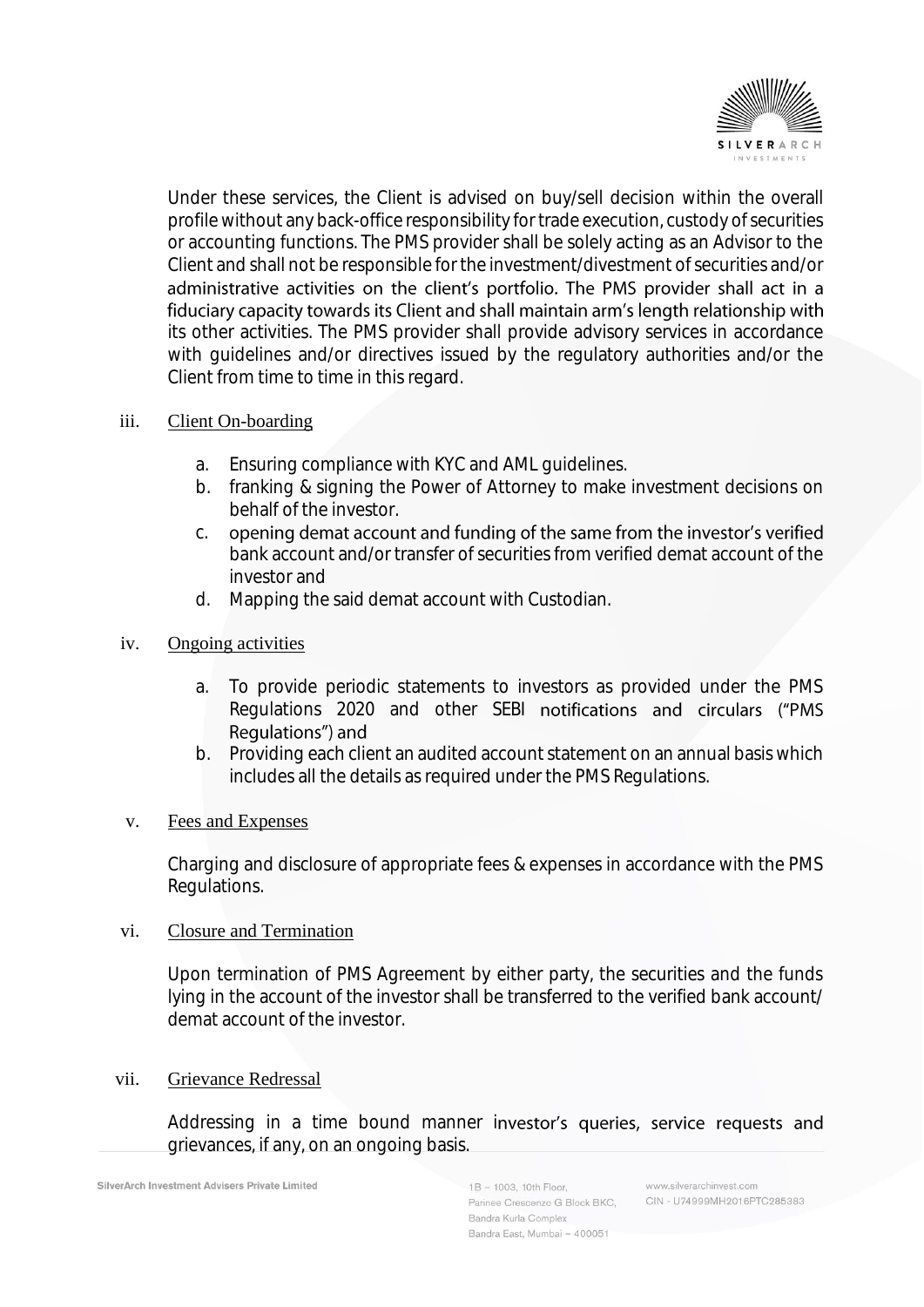

Under these services, the Client is advised on buy/sell decision within the overall profile without any back-office responsibility for trade execution, custody of securities or accounting functions. The PMS provider shall be solely acting as an Advisor to the Client and shall not be responsible for the investment/divestment of securities and/or administrative activities on the client's portfolio. The PMS provider shall act in a fiduciary capacity towards its Client and shall maintain arm's length relationship with its other activities. The PMS provider shall provide advisory services in accordance with guidelines and/or directives issued by the regulatory authorities and/or the Client from time to time in this regard.

### iii. Client On-boarding

- 
- a. Ensuring compliance with KYC and AML guidelines.<br>b. franking & signing the Power of Attorney to make franking & signing the Power of Attorney to make investment decisions on behalf of the investor.
- opening demat account and funding of the same from the investor's verified c. bank account and/or transfer of securities from verified demat account of the investor and
- d. Mapping the said demat account with Custodian.

### iv. Ongoing activities

- a. To provide periodic statements to investors as provided under the PMS Regulations 2020 and other SEBI notifications and circulars ("PMS Regulations") and
- b. Providing each client an audited account statement on an annual basis which includes all the details as required under the PMS Regulations.

### v. Fees and Expenses

Charging and disclosure of appropriate fees & expenses in accordance with the PMS Regulations.

#### vi. Closure and Termination

Upon termination of PMS Agreement by either party, the securities and the funds lying in the account of the investor shall be transferred to the verified bank account/ demat account of the investor.

#### vii. Grievance Redressal

Addressing in a time bound manner investor's queries, service requests and grievances, if any, on an ongoing basis.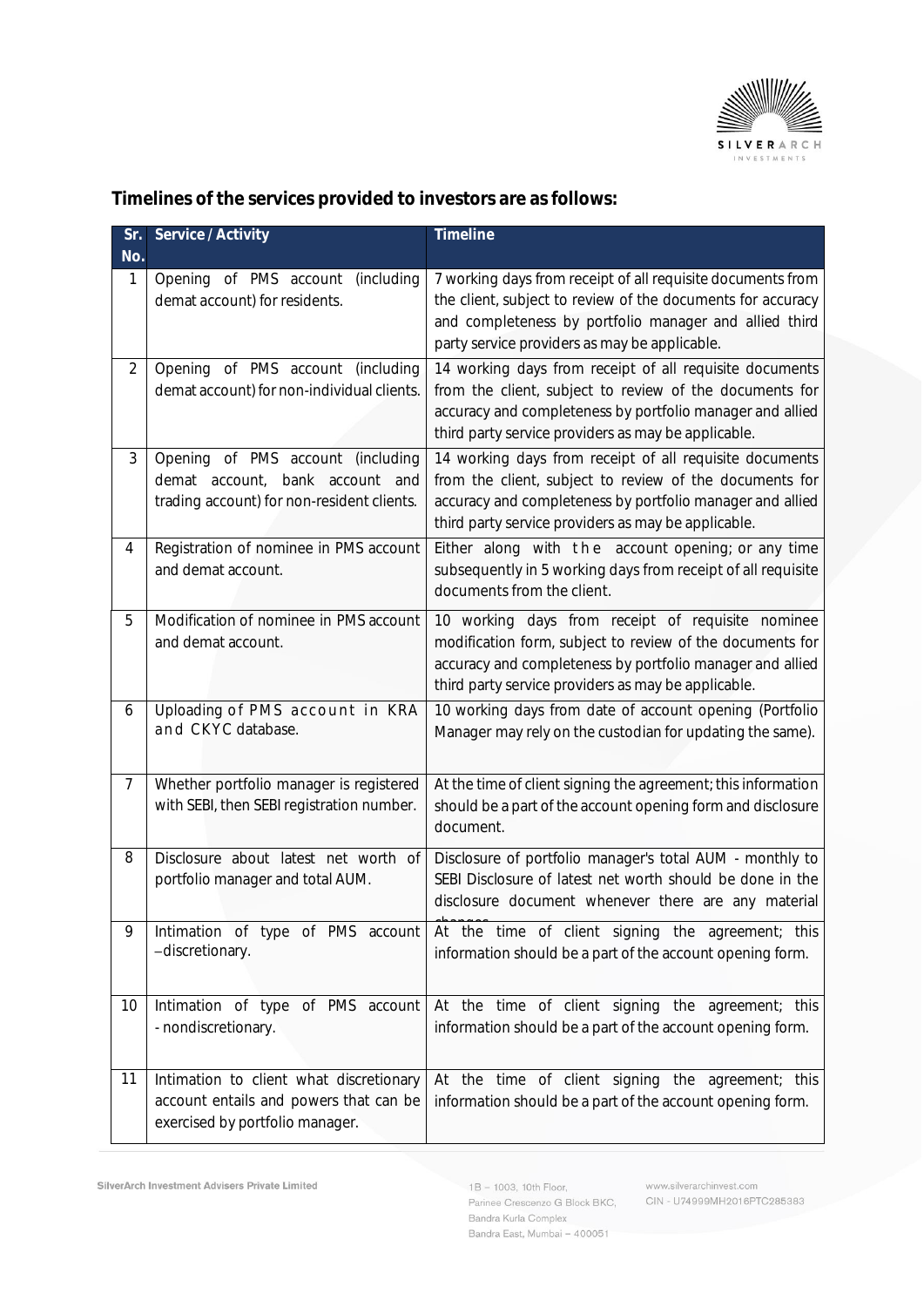

| Sr.<br>No.     | Service / Activity                                                                                                   | Timeline                                                                                                                                                                                                                               |
|----------------|----------------------------------------------------------------------------------------------------------------------|----------------------------------------------------------------------------------------------------------------------------------------------------------------------------------------------------------------------------------------|
| 1              | Opening of PMS account<br>(including<br>demat account) for residents.                                                | 7 working days from receipt of all requisite documents from<br>the client, subject to review of the documents for accuracy<br>and completeness by portfolio manager and allied third<br>party service providers as may be applicable.  |
| $\overline{2}$ | Opening of PMS account (including<br>demat account) for non-individual clients.                                      | 14 working days from receipt of all requisite documents<br>from the client, subject to review of the documents for<br>accuracy and completeness by portfolio manager and allied<br>third party service providers as may be applicable. |
| 3              | Opening of PMS account (including<br>demat account, bank account and<br>trading account) for non-resident clients.   | 14 working days from receipt of all requisite documents<br>from the client, subject to review of the documents for<br>accuracy and completeness by portfolio manager and allied<br>third party service providers as may be applicable. |
| $\overline{4}$ | Registration of nominee in PMS account<br>and demat account.                                                         | Either along with the account opening; or any time<br>subsequently in 5 working days from receipt of all requisite<br>documents from the client.                                                                                       |
| 5              | Modification of nominee in PMS account<br>and demat account.                                                         | 10 working days from receipt of requisite nominee<br>modification form, subject to review of the documents for<br>accuracy and completeness by portfolio manager and allied<br>third party service providers as may be applicable.     |
| 6              | Uploading of PMS account in KRA<br>and CKYC database.                                                                | 10 working days from date of account opening (Portfolio<br>Manager may rely on the custodian for updating the same).                                                                                                                   |
| 7              | Whether portfolio manager is registered<br>with SEBI, then SEBI registration number.                                 | At the time of client signing the agreement; this information<br>should be a part of the account opening form and disclosure<br>document.                                                                                              |
| 8              | Disclosure about latest net worth of<br>portfolio manager and total AUM.                                             | Disclosure of portfolio manager's total AUM - monthly to<br>SEBI Disclosure of latest net worth should be done in the<br>disclosure document whenever there are any material                                                           |
| 9              | Intimation of type of PMS account<br>-discretionary.                                                                 | At the time of client signing the agreement; this<br>information should be a part of the account opening form.                                                                                                                         |
| 10             | Intimation of type of PMS account<br>- nondiscretionary.                                                             | At the time of client signing the agreement; this<br>information should be a part of the account opening form.                                                                                                                         |
| 11             | Intimation to client what discretionary<br>account entails and powers that can be<br>exercised by portfolio manager. | At the time of client signing the agreement; this<br>information should be a part of the account opening form.                                                                                                                         |

**Timelines of the services provided to investors are as follows:**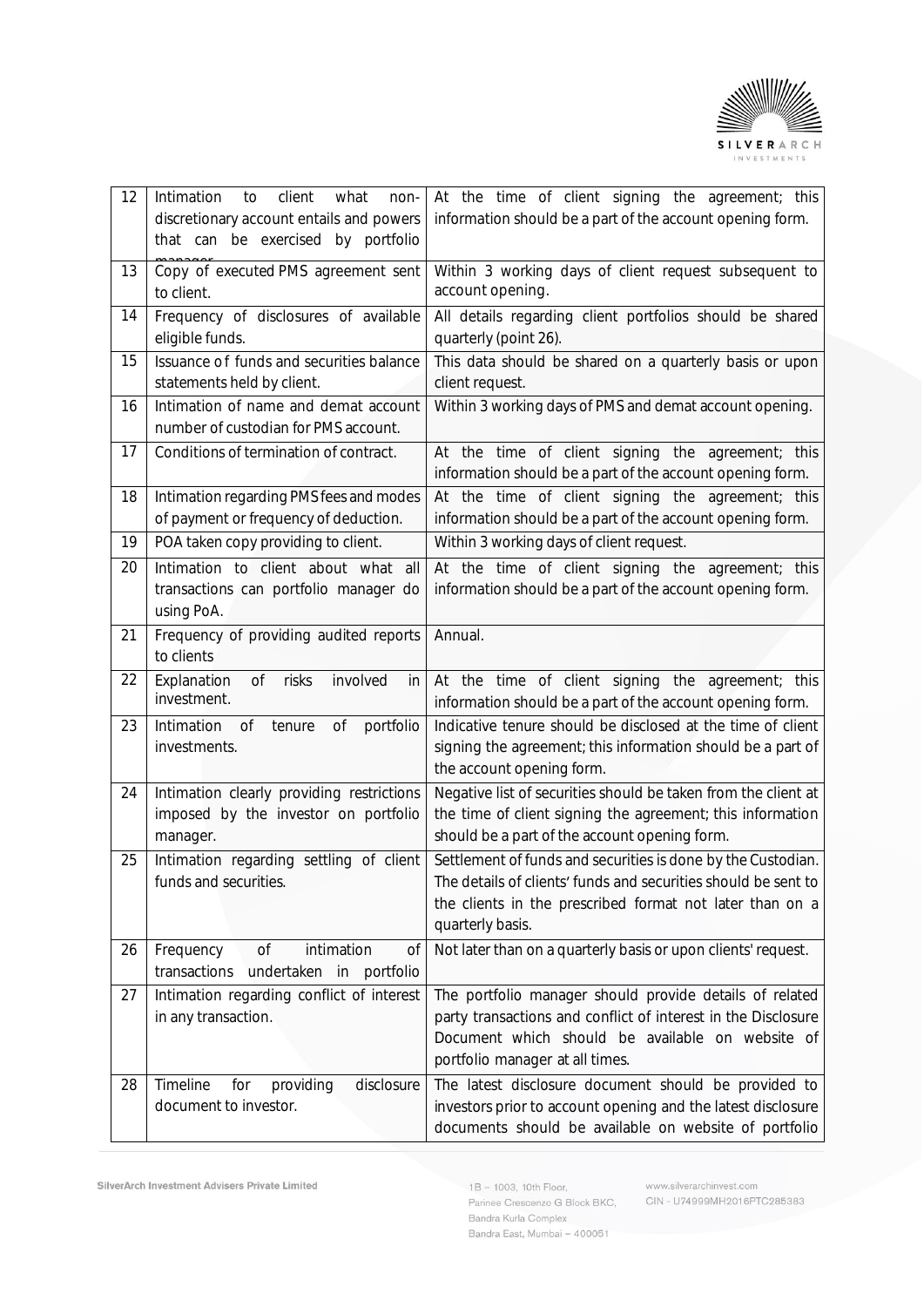

| 12 | client<br>Intimation<br>what<br>to<br>non-<br>discretionary account entails and powers<br>that can be exercised by portfolio | At the time of client signing the agreement; this<br>information should be a part of the account opening form.                                                                                                  |
|----|------------------------------------------------------------------------------------------------------------------------------|-----------------------------------------------------------------------------------------------------------------------------------------------------------------------------------------------------------------|
| 13 | Copy of executed PMS agreement sent<br>to client.                                                                            | Within 3 working days of client request subsequent to<br>account opening.                                                                                                                                       |
| 14 | Frequency of disclosures of available<br>eligible funds.                                                                     | All details regarding client portfolios should be shared<br>quarterly (point 26).                                                                                                                               |
| 15 | Issuance of funds and securities balance<br>statements held by client.                                                       | This data should be shared on a quarterly basis or upon<br>client request.                                                                                                                                      |
| 16 | Intimation of name and demat account<br>number of custodian for PMS account.                                                 | Within 3 working days of PMS and demat account opening.                                                                                                                                                         |
| 17 | Conditions of termination of contract.                                                                                       | At the time of client signing the agreement; this<br>information should be a part of the account opening form.                                                                                                  |
| 18 | Intimation regarding PMS fees and modes<br>of payment or frequency of deduction.                                             | At the time of client signing the agreement; this<br>information should be a part of the account opening form.                                                                                                  |
| 19 | POA taken copy providing to client.                                                                                          | Within 3 working days of client request.                                                                                                                                                                        |
| 20 | Intimation to client about what all<br>transactions can portfolio manager do<br>using PoA.                                   | At the time of client signing the agreement; this<br>information should be a part of the account opening form.                                                                                                  |
| 21 | Frequency of providing audited reports<br>to clients                                                                         | Annual.                                                                                                                                                                                                         |
| 22 | Explanation<br>0f<br>risks<br>involved<br>in<br>investment.                                                                  | At the time of client signing the agreement; this<br>information should be a part of the account opening form.                                                                                                  |
| 23 | Intimation<br>portfolio<br>0f<br>tenure<br>0f<br>investments.                                                                | Indicative tenure should be disclosed at the time of client<br>signing the agreement; this information should be a part of<br>the account opening form.                                                         |
| 24 | Intimation clearly providing restrictions<br>imposed by the investor on portfolio<br>manager.                                | Negative list of securities should be taken from the client at<br>the time of client signing the agreement; this information<br>should be a part of the account opening form.                                   |
| 25 | Intimation regarding settling of client<br>funds and securities.                                                             | Settlement of funds and securities is done by the Custodian.<br>The details of clients' funds and securities should be sent to<br>the clients in the prescribed format not later than on a<br>quarterly basis.  |
| 26 | 0f<br>intimation<br>Frequency<br>0f<br>transactions<br>undertaken in<br>portfolio                                            | Not later than on a quarterly basis or upon clients' request.                                                                                                                                                   |
| 27 | Intimation regarding conflict of interest<br>in any transaction.                                                             | The portfolio manager should provide details of related<br>party transactions and conflict of interest in the Disclosure<br>Document which should be available on website of<br>portfolio manager at all times. |
| 28 | Timeline<br>for<br>disclosure<br>providing<br>document to investor.                                                          | The latest disclosure document should be provided to<br>investors prior to account opening and the latest disclosure<br>documents should be available on website of portfolio                                   |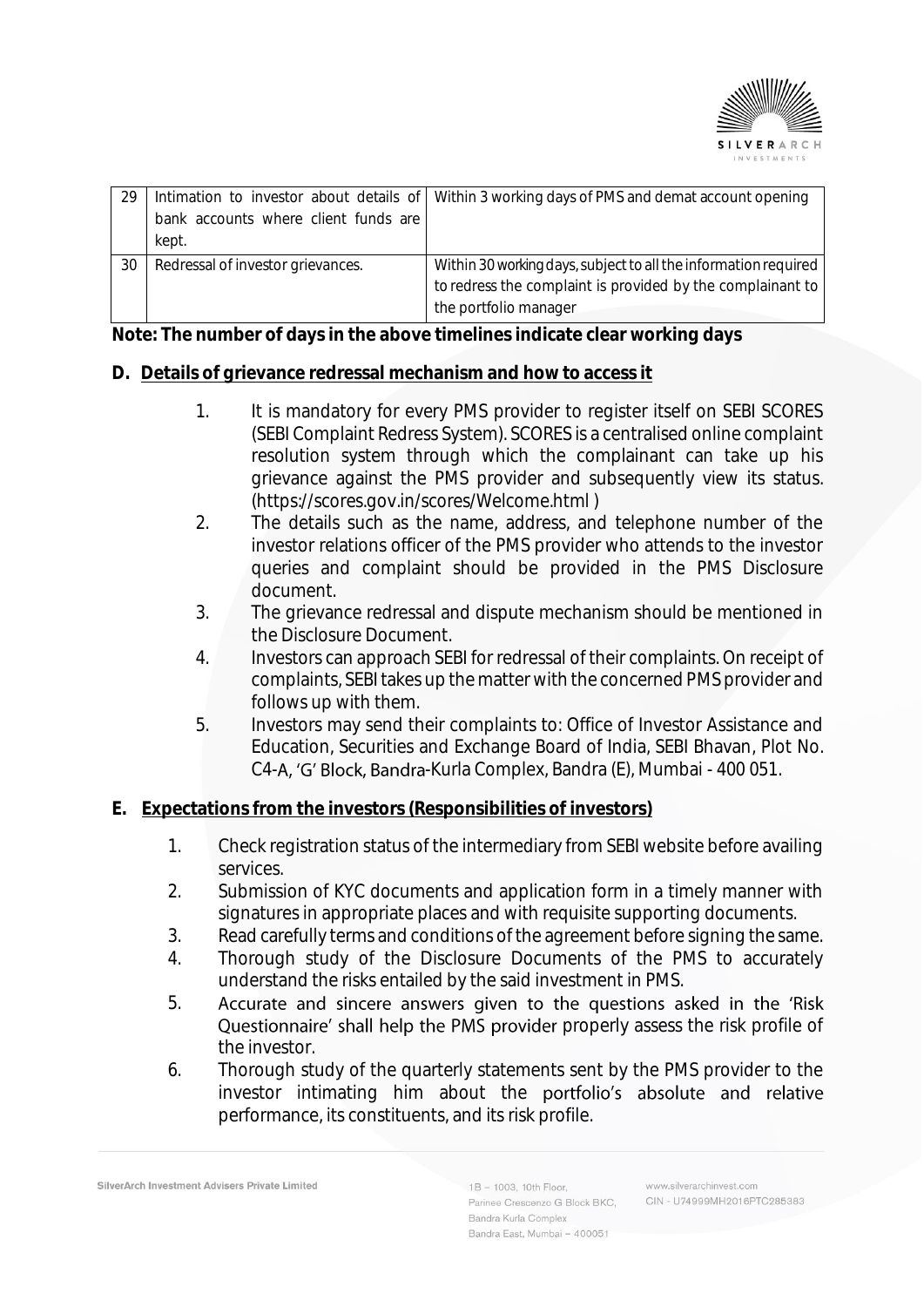

|                                   | Intimation to investor about details of Within 3 working days of PMS and demat account opening |
|-----------------------------------|------------------------------------------------------------------------------------------------|
|                                   |                                                                                                |
| kept.                             |                                                                                                |
| Redressal of investor grievances. | Within 30 working days, subject to all the information required                                |
|                                   | to redress the complaint is provided by the complainant to                                     |
|                                   | the portfolio manager                                                                          |
|                                   | bank accounts where client funds are                                                           |

**Note: The number of days in the above timelines indicate clear working days**

## **D. Details of grievance redressal mechanism and how to access it**

- 1. It is mandatory for every PMS provider to register itself on SEBI SCORES (SEBI Complaint Redress System). SCORES is a centralised online complaint resolution system through which the complainant can take up his grievance against the PMS provider and subsequently view its status. (https://scores.gov.in/scores/Welcome.html )
- 2. The details such as the name, address, and telephone number of the investor relations officer of the PMS provider who attends to the investor queries and complaint should be provided in the PMS Disclosure document.
- 3. The grievance redressal and dispute mechanism should be mentioned in the Disclosure Document.
- 4. Investors can approach SEBI for redressal of their complaints. On receipt of complaints, SEBI takes up the matter with the concerned PMS provider and follows up with them.
- 5. Investors may send their complaints to: Office of Investor Assistance and Education, Securities and Exchange Board of India, SEBI Bhavan, Plot No. C4-A, 'G' Block, Bandra-Kurla Complex, Bandra (E), Mumbai - 400 051.

### **E. Expectations from the investors (Responsibilities of investors)**

- 1. Check registration status of the intermediary from SEBI website before availing services.
- 2. Submission of KYC documents and application form in a timely manner with signatures in appropriate places and with requisite supporting documents.
- 3. Read carefully terms and conditions of the agreement before signing the same.
- 4. Thorough study of the Disclosure Documents of the PMS to accurately understand the risks entailed by the said investment in PMS.
- 5. Accurate and sincere answers given to the questions asked in the 'Risk Questionnaire' shall help the PMS provider properly assess the risk profile of the investor.
- 6. Thorough study of the quarterly statements sent by the PMS provider to the investor intimating him about the portfolio's absolute and relative performance, its constituents, and its risk profile.

SilverArch Investment Advisers Private Limited